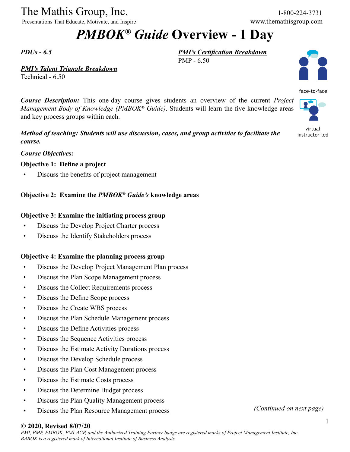The Mathis Group, Inc. 1-800-224-3731

Presentations That Educate, Motivate, and Inspire www.themathisgroup.com

# *PMBOK® Guide* **Overview - 1 Day**

PMP - 6.50

*PMI's Certification Breakdown*

*PDUs - 6.5*

*PMI's Talent Triangle Breakdown*

Technical - 6.50

*Course Description:* This one-day course gives students an overview of the current *Project Management Body of Knowledge (PMBOK® Guide)*. Students will learn the five knowledge areas and key process groups within each.

*Method of teaching: Students will use discussion, cases, and group activities to facilitate the course.*

*Course Objectives:*

### **Objective 1: Define a project**

• Discuss the benefits of project management

## **Objective 2: Examine the** *PMBOK® Guide's* **knowledge areas**

### **Objective 3: Examine the initiating process group**

- Discuss the Develop Project Charter process
- Discuss the Identify Stakeholders process

### **Objective 4: Examine the planning process group**

- Discuss the Develop Project Management Plan process
- Discuss the Plan Scope Management process
- Discuss the Collect Requirements process
- Discuss the Define Scope process
- Discuss the Create WBS process
- Discuss the Plan Schedule Management process
- Discuss the Define Activities process
- Discuss the Sequence Activities process
- Discuss the Estimate Activity Durations process
- Discuss the Develop Schedule process
- Discuss the Plan Cost Management process
- Discuss the Estimate Costs process
- Discuss the Determine Budget process
- Discuss the Plan Quality Management process
- Discuss the Plan Resource Management process *(Continued on next page)*

#### **© 2020, Revised 8/07/20**